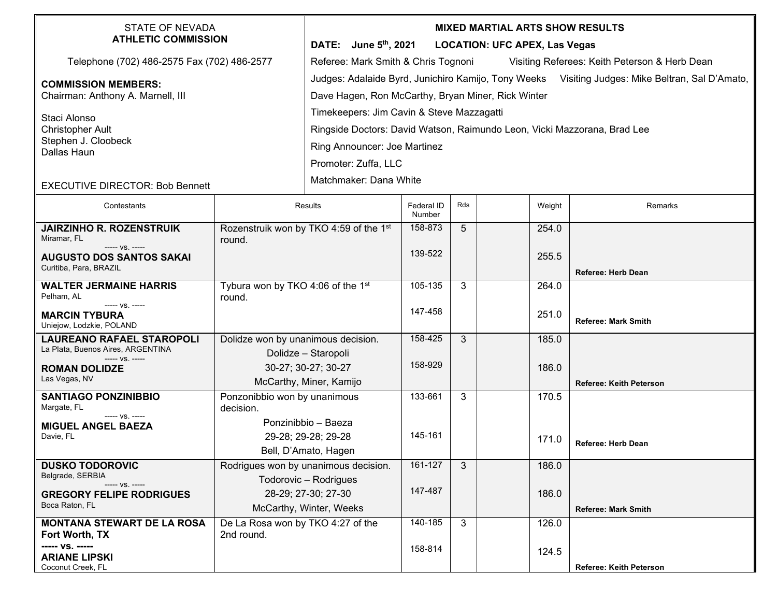| <b>STATE OF NEVADA</b><br><b>ATHLETIC COMMISSION</b>                  |                                                           | <b>MIXED MARTIAL ARTS SHOW RESULTS</b>                                                          |                             |     |        |                            |  |  |  |  |
|-----------------------------------------------------------------------|-----------------------------------------------------------|-------------------------------------------------------------------------------------------------|-----------------------------|-----|--------|----------------------------|--|--|--|--|
|                                                                       |                                                           | DATE: June 5th, 2021<br><b>LOCATION: UFC APEX, Las Vegas</b>                                    |                             |     |        |                            |  |  |  |  |
| Telephone (702) 486-2575 Fax (702) 486-2577                           |                                                           | Referee: Mark Smith & Chris Tognoni<br>Visiting Referees: Keith Peterson & Herb Dean            |                             |     |        |                            |  |  |  |  |
| <b>COMMISSION MEMBERS:</b><br>Chairman: Anthony A. Marnell, III       |                                                           | Judges: Adalaide Byrd, Junichiro Kamijo, Tony Weeks Visiting Judges: Mike Beltran, Sal D'Amato, |                             |     |        |                            |  |  |  |  |
|                                                                       |                                                           | Dave Hagen, Ron McCarthy, Bryan Miner, Rick Winter                                              |                             |     |        |                            |  |  |  |  |
| Staci Alonso<br><b>Christopher Ault</b>                               |                                                           | Timekeepers: Jim Cavin & Steve Mazzagatti                                                       |                             |     |        |                            |  |  |  |  |
|                                                                       |                                                           | Ringside Doctors: David Watson, Raimundo Leon, Vicki Mazzorana, Brad Lee                        |                             |     |        |                            |  |  |  |  |
| Stephen J. Cloobeck                                                   |                                                           |                                                                                                 |                             |     |        |                            |  |  |  |  |
| Dallas Haun                                                           |                                                           | Ring Announcer: Joe Martinez                                                                    |                             |     |        |                            |  |  |  |  |
|                                                                       |                                                           | Promoter: Zuffa, LLC                                                                            |                             |     |        |                            |  |  |  |  |
| <b>EXECUTIVE DIRECTOR: Bob Bennett</b>                                |                                                           | Matchmaker: Dana White                                                                          |                             |     |        |                            |  |  |  |  |
| Contestants                                                           | Results                                                   |                                                                                                 | <b>Federal ID</b><br>Number | Rds | Weight | Remarks                    |  |  |  |  |
| <b>JAIRZINHO R. ROZENSTRUIK</b>                                       |                                                           | Rozenstruik won by TKO 4:59 of the 1st                                                          | 158-873                     | 5   | 254.0  |                            |  |  |  |  |
| Miramar, FL<br>----- VS. -----                                        | round.                                                    |                                                                                                 |                             |     |        |                            |  |  |  |  |
| <b>AUGUSTO DOS SANTOS SAKAI</b>                                       |                                                           |                                                                                                 | 139-522                     |     | 255.5  |                            |  |  |  |  |
| Curitiba, Para, BRAZIL                                                |                                                           |                                                                                                 |                             |     |        | <b>Referee: Herb Dean</b>  |  |  |  |  |
| <b>WALTER JERMAINE HARRIS</b>                                         | Tybura won by TKO 4:06 of the 1st                         |                                                                                                 | 105-135                     | 3   | 264.0  |                            |  |  |  |  |
| Pelham, AL<br>----- VS. -----                                         | round.                                                    |                                                                                                 |                             |     |        |                            |  |  |  |  |
| <b>MARCIN TYBURA</b>                                                  |                                                           |                                                                                                 | 147-458                     |     | 251.0  | <b>Referee: Mark Smith</b> |  |  |  |  |
| Uniejow, Lodzkie, POLAND                                              |                                                           |                                                                                                 | 158-425                     |     |        |                            |  |  |  |  |
| <b>LAUREANO RAFAEL STAROPOLI</b><br>La Plata, Buenos Aires, ARGENTINA | Dolidze won by unanimous decision.<br>Dolidze - Staropoli |                                                                                                 |                             | 3   | 185.0  |                            |  |  |  |  |
| ----- VS. -----<br><b>ROMAN DOLIDZE</b>                               |                                                           | 30-27; 30-27; 30-27                                                                             | 158-929                     |     | 186.0  |                            |  |  |  |  |
| Las Vegas, NV                                                         |                                                           |                                                                                                 |                             |     |        | Referee: Keith Peterson    |  |  |  |  |
| <b>SANTIAGO PONZINIBBIO</b>                                           | McCarthy, Miner, Kamijo<br>Ponzonibbio won by unanimous   |                                                                                                 | 133-661                     | 3   | 170.5  |                            |  |  |  |  |
| Margate, FL                                                           | decision.                                                 |                                                                                                 |                             |     |        |                            |  |  |  |  |
| ----- VS. -----<br><b>MIGUEL ANGEL BAEZA</b>                          | Ponzinibbio - Baeza                                       |                                                                                                 |                             |     |        |                            |  |  |  |  |
| Davie, FL                                                             |                                                           | 29-28; 29-28; 29-28                                                                             | 145-161                     |     | 171.0  | <b>Referee: Herb Dean</b>  |  |  |  |  |
|                                                                       | Bell, D'Amato, Hagen                                      |                                                                                                 |                             |     |        |                            |  |  |  |  |
| <b>DUSKO TODOROVIC</b><br>Belgrade, SERBIA<br>----- VS. -----         | Rodrigues won by unanimous decision.                      |                                                                                                 | 161-127                     | 3   | 186.0  |                            |  |  |  |  |
|                                                                       | Todorovic - Rodrigues                                     |                                                                                                 |                             |     |        |                            |  |  |  |  |
| <b>GREGORY FELIPE RODRIGUES</b>                                       |                                                           | 28-29; 27-30; 27-30                                                                             | 147-487                     |     | 186.0  |                            |  |  |  |  |
| Boca Raton, FL                                                        | McCarthy, Winter, Weeks                                   |                                                                                                 |                             |     |        | <b>Referee: Mark Smith</b> |  |  |  |  |
| <b>MONTANA STEWART DE LA ROSA</b>                                     | De La Rosa won by TKO 4:27 of the                         |                                                                                                 | 140-185                     | 3   | 126.0  |                            |  |  |  |  |
| Fort Worth, TX<br>----- VS. -----                                     | 2nd round.                                                |                                                                                                 | 158-814                     |     |        |                            |  |  |  |  |
| <b>ARIANE LIPSKI</b>                                                  |                                                           |                                                                                                 |                             |     | 124.5  |                            |  |  |  |  |
| Coconut Creek, FL                                                     |                                                           |                                                                                                 |                             |     |        | Referee: Keith Peterson    |  |  |  |  |